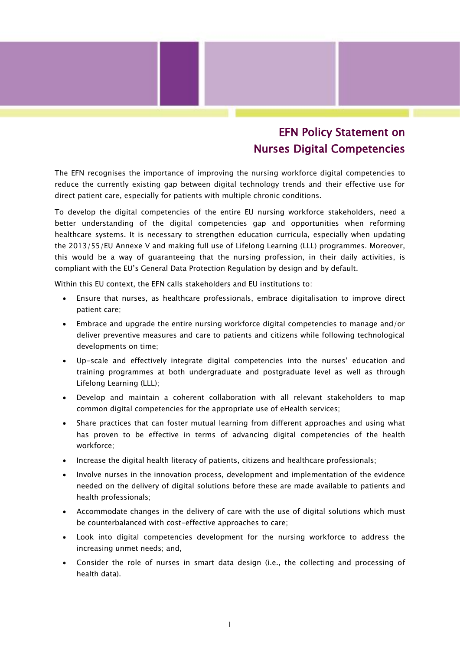## EFN Policy Statement on Nurses Digital Competencies

The EFN recognises the importance of improving the nursing workforce digital competencies to reduce the currently existing gap between digital technology trends and their effective use for direct patient care, especially for patients with multiple chronic conditions.

To develop the digital competencies of the entire EU nursing workforce stakeholders, need a better understanding of the digital competencies gap and opportunities when reforming healthcare systems. It is necessary to strengthen education curricula, especially when updating the 2013/55/EU Annexe V and making full use of Lifelong Learning (LLL) programmes. Moreover, this would be a way of guaranteeing that the nursing profession, in their daily activities, is compliant with the EU's General Data Protection Regulation by design and by default.

Within this EU context, the EFN calls stakeholders and EU institutions to:

- Ensure that nurses, as healthcare professionals, embrace digitalisation to improve direct patient care;
- Embrace and upgrade the entire nursing workforce digital competencies to manage and/or deliver preventive measures and care to patients and citizens while following technological developments on time;
- Up-scale and effectively integrate digital competencies into the nurses' education and training programmes at both undergraduate and postgraduate level as well as through Lifelong Learning (LLL);
- Develop and maintain a coherent collaboration with all relevant stakeholders to map common digital competencies for the appropriate use of eHealth services;
- Share practices that can foster mutual learning from different approaches and using what has proven to be effective in terms of advancing digital competencies of the health workforce;
- Increase the digital health literacy of patients, citizens and healthcare professionals;
- Involve nurses in the innovation process, development and implementation of the evidence needed on the delivery of digital solutions before these are made available to patients and health professionals;
- Accommodate changes in the delivery of care with the use of digital solutions which must be counterbalanced with cost-effective approaches to care;
- Look into digital competencies development for the nursing workforce to address the increasing unmet needs; and,
- Consider the role of nurses in smart data design (i.e., the collecting and processing of health data).